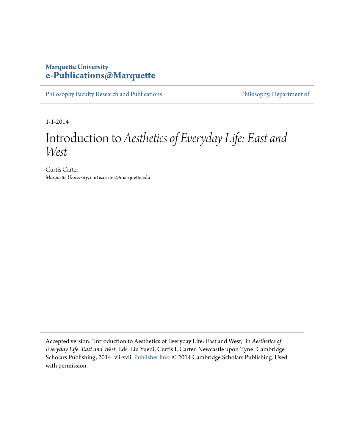#### **Marquette University [e-Publications@Marquette](http://epublications.marquette.edu)**

[Philosophy Faculty Research and Publications](http://epublications.marquette.edu/phil_fac) [Philosophy, Department of](http://epublications.marquette.edu/philosophy)

1-1-2014

## Introduction to *Aesthetics of Everyday Life: East and West*

Curtis Carter *Marquette University*, curtis.carter@marquette.edu

Accepted version. "Introduction to Aesthetics of Everyday Life: East and West," in *Aesthetics of Everyday Life: East and West*. Eds. Liu Yuedi, Curtis L.Carter. Newcastle upon Tyne: Cambridge Scholars Publishing, 2014: vii-xvii. [Publisher link](http://www.cambridgescholars.com/aesthetics-of-everyday-life). © 2014 Cambridge Scholars Publishing. Used with permission.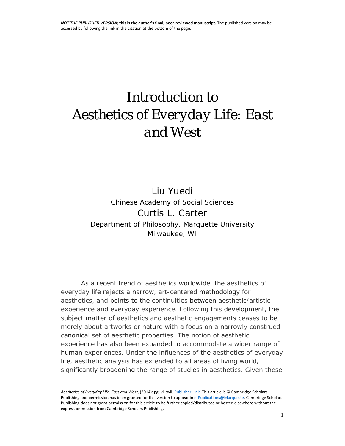# Introduction to *Aesthetics of Everyday Life: East and West*

Liu Yuedi *Chinese Academy of Social Sciences*  Curtis L. Carter *Department of Philosophy, Marquette University Milwaukee, WI*

As a recent trend of aesthetics worldwide, the aesthetics of everyday life rejects a narrow, art-centered methodology for aesthetics, and points to the continuities between aesthetic/artistic experience and everyday experience. Following this development, the subject matter of aesthetics and aesthetic engagements ceases to be merely about artworks or nature with a focus on a narrowly construed canonical set of aesthetic properties. The notion of aesthetic experience has also been expanded to accommodate a wider range of human experiences. Under the influences of the aesthetics of everyday life, aesthetic analysis has extended to all areas of living world, significantly broadening the range of studies in aesthetics. Given these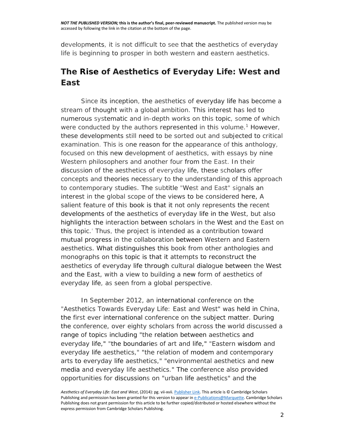developments, it is not difficult to see that the aesthetics of everyday life is beginning to prosper in both western and eastern aesthetics.

#### **The Rise of Aesthetics of Everyday Life: West and East**

Since its inception, the aesthetics of everyday life has become a stream of thought with a global ambition. This interest has led to numerous systematic and in-depth works on this topic, some of which were conducted by the authors represented in this volume.<sup>1</sup> However, these developments still need to be sorted out and subjected to critical examination. This is one reason for the appearance of this anthology, focused on this new development of aesthetics, with essays by nine Western philosophers and another four from the East. In their discussion of the aesthetics of everyday life, these scholars offer concepts and theories necessary to the understanding of this approach to contemporary studies. The subtitle "West and East" signals an interest in the global scope of the views to be considered here, A salient feature of this book is that it not only represents the recent developments of the aesthetics of everyday life in the West, but also highlights the interaction between scholars in the West and the East on this topic.' Thus, the project is intended as a contribution toward mutual progress in the collaboration between Western and Eastern aesthetics. What distinguishes this book from other anthologies and monographs on this topic is that it attempts to reconstruct the aesthetics of everyday life through cultural dialogue between the West and the East, with a view to building a new form of aesthetics of everyday life, as seen from a global perspective.

In September 2012, an international conference on the "Aesthetics Towards Everyday Life: East and West" was held in China, the first ever international conference on the subject matter. During the conference, over eighty scholars from across the world discussed a range of topics including "the relation between aesthetics and everyday life," "the boundaries of art and life," "Eastern wisdom and everyday life aesthetics," "the relation of modem and contemporary arts to everyday life aesthetics," "environmental aesthetics and new media and everyday life aesthetics." The conference also provided opportunities for discussions on "urban life aesthetics" and the

*Aesthetics of Everyday Life: East and West*, (2014): pg. vii-xvii[. Publisher Link.](http://www.cambridgescholars.com/aesthetics-of-everyday-life) This article is © Cambridge Scholars Publishing and permission has been granted for this version to appear in [e-Publications@Marquette.](http://epublications.marquette.edu/) Cambridge Scholars Publishing does not grant permission for this article to be further copied/distributed or hosted elsewhere without the express permission from Cambridge Scholars Publishing.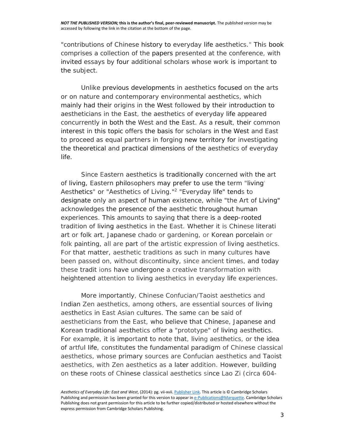"contributions of Chinese history to everyday life aesthetics." This book comprises a collection of the papers presented at the conference, with invited essays by four additional scholars whose work is important to the subject.

Unlike previous developments in aesthetics focused on the arts or on nature and contemporary environmental aesthetics, which mainly had their origins in the West followed by their introduction to aestheticians in the East, the aesthetics of everyday life appeared concurrently in both the West and the East. As a result, their common interest in this topic offers the basis for scholars in the West and East to proceed as equal partners in forging new territory for investigating the theoretical and practical dimensions of the aesthetics of everyday life.

Since Eastern aesthetics is traditionally concerned with the art of living, Eastern philosophers may prefer to use the term "living' Aesthetics" or "Aesthetics of Living."<sup>2</sup> "Everyday life" tends to designate only an aspect of human existence, while "the Art of Living" acknowledges the presence of the aesthetic throughout human experiences. This amounts to saying that there is a deep-rooted tradition of living aesthetics in the East. Whether it is Chinese literati art or folk art, Japanese chado or gardening, or Korean porcelain or folk painting, all are part of the artistic expression of living aesthetics. For that matter, aesthetic traditions as such in many cultures have been passed on, without discontinuity, since ancient times, and today these tradit ions have undergone a creative transformation with heightened attention to living aesthetics in everyday life experiences.

More importantly, Chinese Confucian/Taoist aesthetics and Indian Zen aesthetics, among others, are essential sources of living aesthetics in East Asian cultures. The same can be said of aestheticians from the East, who believe that Chinese, Japanese and Korean traditional aesthetics offer a "prototype" of living aesthetics. For example, it is important to note that, living aesthetics, or the idea of artful life, constitutes the fundamental paradigm of Chinese classical aesthetics, whose primary sources are Confucian aesthetics and Taoist aesthetics, with Zen aesthetics as a later addition. However, building on these roots of Chinese classical aesthetics since Lao Zi (circa 604-

*Aesthetics of Everyday Life: East and West*, (2014): pg. vii-xvii[. Publisher Link.](http://www.cambridgescholars.com/aesthetics-of-everyday-life) This article is © Cambridge Scholars Publishing and permission has been granted for this version to appear in [e-Publications@Marquette.](http://epublications.marquette.edu/) Cambridge Scholars Publishing does not grant permission for this article to be further copied/distributed or hosted elsewhere without the express permission from Cambridge Scholars Publishing.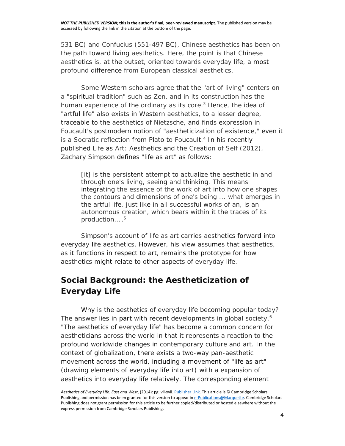531 BC) and Confucius (551-497 BC), Chinese aesthetics has been on the path toward living aesthetics. Here, the point is that Chinese aesthetics is, at the outset, oriented towards everyday life, a most profound difference from European classical aesthetics.

Some Western scholars agree that the "art of living" centers on a "spiritual tradition" such as Zen, and in its construction has the human experience of the ordinary as its core.<sup>3</sup> Hence, the idea of "artful life" also exists in Western aesthetics, to a lesser degree, traceable to the aesthetics of Nietzsche, and finds expression in Foucault's postmodern notion of "aestheticization of existence," even it is a Socratic reflection from Plato to Foucault. <sup>4</sup> In his recently published *Life as Art: Aesthetics and the Creation of Self* (2012), Zachary Simpson defines "life as art" as follows:

[it] is the persistent attempt to actualize the aesthetic in and through one's living, seeing and thinking. This means integrating the essence of the work of art into how one shapes the contours and dimensions of one's being ... what emerges in the artful life, just like in all successful works of an, is an autonomous creation, which bears within it the traces of its production… .5

Simpson's account of life as art carries aesthetics forward into everyday life aesthetics. However, his view assumes that aesthetics, as it functions in respect to art, remains the prototype for how aesthetics might relate to other aspects of everyday life.

#### **Social Background: the Aestheticization of Everyday Life**

Why is the aesthetics of everyday life becoming popular today? The answer lies in part with recent developments in global society.<sup>6</sup> "The aesthetics of everyday life" has become a common concern for aestheticians across the world in that it represents a reaction to the profound worldwide changes in contemporary culture and art. In the context of globalization, there exists a two-way pan-aesthetic movement across the world, including a movement of "life as art" (drawing elements of everyday life into art) with a expansion of aesthetics into everyday life relatively. The corresponding element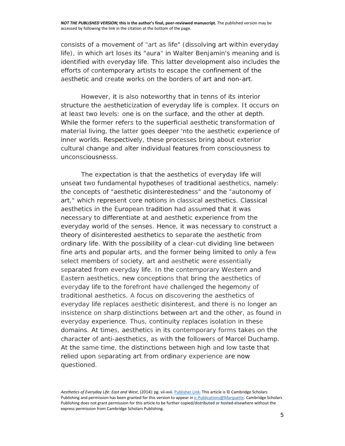consists of a movement of "art as life" (dissolving art within everyday life), in which art loses its "aura" in Walter Benjamin's meaning and is identified with everyday life. This latter development also includes the efforts of contemporary artists to escape the confinement of the aesthetic and create works on the borders of art and non-art.

However, it is also noteworthy that in tenns of its interior structure the aestheticization of everyday life is complex. It occurs on at least two levels: one is on the surface, and the other at depth. While the former refers to the superficial aesthetic transformation of material living, the latter goes deeper 'nto the aesthetic experience of inner worlds. Respectively, these processes bring about exterior cultural change and alter individual features from consciousness to unconsciousnesss.

The expectation is that the aesthetics of everyday life will unseat two fundamental hypotheses of traditional aesthetics, namely: the concepts of "aesthetic disinterestedness" and the "autonomy of art," which represent core notions in classical aesthetics. Classical aesthetics in the European tradition had assumed that it was necessary to differentiate at and aesthetic experience from the everyday world of the senses. Hence, it was necessary to construct a theory of disinterested aesthetics to separate the aesthetic from ordinary life. With the possibility of a clear-cut dividing line between fine arts and popular arts, and the former being limited to only a few select members of society, art and aesthetic were essentially separated from everyday life. In the contemporary Western and Eastern aesthetics, new conceptions that bring the aesthetics of everyday life to the forefront have challenged the hegemony of traditional aesthetics. A focus on discovering the aesthetics of everyday life replaces aesthetic disinterest, and there is no longer an insistence on sharp distinctions between art and the other, as found in everyday experience. Thus, continuity replaces isolation in these domains. At times, aesthetics in its contemporary forms takes on the character of anti-aesthetics, as with the followers of Marcel Duchamp. At the same time, the distinctions between high and low taste that relied upon separating art from ordinary experience are now questioned.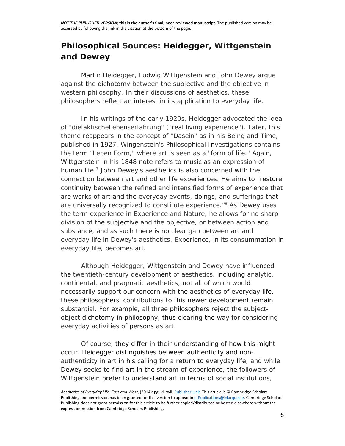## **Philosophical Sources: Heidegger, Wittgenstein and Dewey**

Martin Heidegger, Ludwig Wittgenstein and John Dewey argue against the dichotomy between the subjective and the objective in western philosophy. In their discussions of aesthetics, these philosophers reflect an interest in its application to everyday life.

In his writings of the early 1920s, Heidegger advocated the idea of *"diefaktischeLebenserfahrung"* ("real living experience"). Later, this theme reappears in the concept of *"Dasein"* as in his *Being and Time,* published in 1927. Wingenstein's *Philosophical Investigations* contains the term *"Leben Form,"* where art is seen as a "form of life." Again, Wittgenstein in his 1848 note refers to music as an expression of human life.<sup>7</sup> John Dewey's aesthetics is also concerned with the connection between art and other life experiences. He aims to "restore continuity between the refined and intensified forms of experience that are works of art and the everyday events, doings, and sufferings that are universally recognized to constitute experience.<sup>"8</sup> As Dewey uses the term experience in *Experience and Nature,* he allows for no sharp division of the subjective and the objective, or between action and substance, and as such there is no clear gap between art and everyday life in Dewey's aesthetics. Experience, in its consummation in everyday life, becomes art.

Although Heidegger, Wittgenstein and Dewey have influenced the twentieth-century development of aesthetics, including analytic, continental, and pragmatic aesthetics, not all of which would necessarily support our concern with the aesthetics of everyday life, these philosophers' contributions to this newer development remain substantial. For example, all three philosophers reject the subjectobject dichotomy in philosophy, thus clearing the way for considering everyday activities of persons as art.

Of course, they differ in their understanding of how this might occur. Heidegger distinguishes between authenticity and nonauthenticity in art in his calling for a return to everyday life, and while Dewey seeks to find art in the stream of experience, the followers of Wittgenstein prefer to understand art in terms of social institutions,

*Aesthetics of Everyday Life: East and West*, (2014): pg. vii-xvii[. Publisher Link.](http://www.cambridgescholars.com/aesthetics-of-everyday-life) This article is © Cambridge Scholars Publishing and permission has been granted for this version to appear in [e-Publications@Marquette.](http://epublications.marquette.edu/) Cambridge Scholars Publishing does not grant permission for this article to be further copied/distributed or hosted elsewhere without the express permission from Cambridge Scholars Publishing.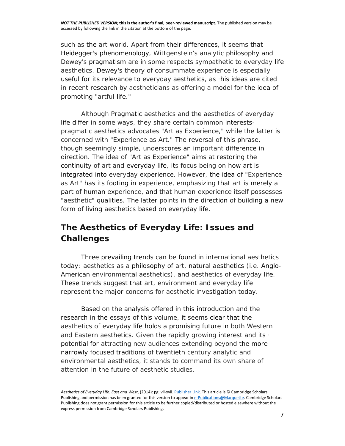such as the art world. Apart from their differences, it seems that Heidegger's phenomenology, Wittgenstein's analytic philosophy and Dewey's pragmatism are in some respects sympathetic to everyday life aesthetics. Dewey's theory of consummate experience is especially useful for its relevance to everyday aesthetics, as ·his ideas are cited in recent research by aestheticians as offering a model for the idea of promoting "artful life."

Although Pragmatic aesthetics and the aesthetics of everyday life differ in some ways, they share certain common interestspragmatic aesthetics advocates "Art as Experience," while the latter is concerned with "Experience as Art." The reversal of this phrase, though seemingly simple, underscores an important difference in direction. The idea of "Art as Experience" aims at restoring the continuity of art and everyday life, its focus being on how art is integrated into everyday experience. However, the idea of "Experience as Art" has its footing in experience, emphasizing that art is merely a part of human experience, and that human experience itself possesses "aesthetic" qualities. The latter points in the direction of building a new form of living aesthetics based on everyday life.

## **The Aesthetics of Everyday Life: Issues and Challenges**

Three prevailing trends can be found in international aesthetics today: aesthetics as a philosophy of art, natural aesthetics (i.e. Anglo-American environmental aesthetics), and aesthetics of everyday life. These trends suggest that art, environment and everyday life represent the major concerns for aesthetic investigation today.

Based on the analysis offered in this introduction and the research in the essays of this volume, it seems clear that the aesthetics of everyday life holds a promising future in both Western and Eastern aesthetics. Given the rapidly growing interest and its · potential for attracting new audiences extending beyond the more narrowly focused traditions of twentieth century analytic and environmental aesthetics, it stands to command its own share of attention in the future of aesthetic studies.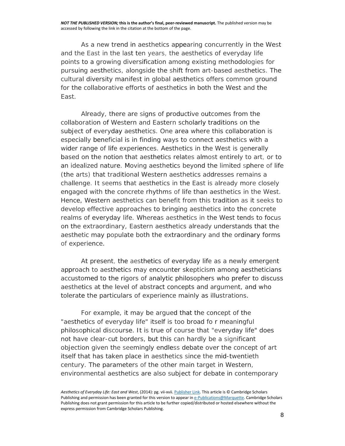As a new trend in aesthetics appearing concurrently in the West and the East in the last ten years, the aesthetics of everyday life points to a growing diversification among existing methodologies for pursuing aesthetics, alongside the shift from art-based aesthetics. The cultural diversity manifest in global aesthetics offers common ground for the collaborative efforts of aesthetics in both the West and the East.

Already, there are signs of productive outcomes from the collaboration of Western and Eastern scholarly traditions on the subject of everyday aesthetics. One area where this collaboration is especially beneficial is in finding ways to connect aesthetics with a wider range of life experiences. Aesthetics in the West is generally based on the notion that aesthetics relates almost entirely to art, or to an idealized nature. Moving aesthetics beyond the limited sphere of life (the arts) that traditional Western aesthetics addresses remains a challenge. It seems that aesthetics in the East is already more closely engaged with the concrete rhythms of life than aesthetics in the West. Hence, Western aesthetics can benefit from this tradition as it seeks to develop effective approaches to bringing aesthetics into the concrete realms of everyday life. Whereas aesthetics in the West tends to focus on the extraordinary, Eastern aesthetics already understands that the aesthetic may populate both the extraordinary and the ordinary forms of experience.

At present, the aesthetics of everyday life as a newly emergent approach to aesthetics may encounter skepticism among aestheticians accustomed to the rigors of analytic philosophers who prefer to discuss aesthetics at the level of abstract concepts and argument, and who tolerate the particulars of experience mainly as illustrations.

For example, it may be argued that the concept of the "aesthetics of everyday life" itself is too broad fo r meaningful philosophical discourse. It is true of course that "everyday life" does not have clear-cut borders, but this can hardly be a significant objection given the seemingly endless debate over the concept of art itself that has taken place in aesthetics since the mid-twentieth century. The parameters of the other main target in Western, environmental aesthetics are also subject for debate in contemporary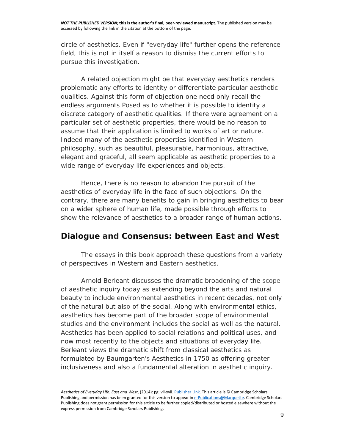circle of aesthetics. Even if "everyday life" further opens the reference field, this is not in itself a reason to dismiss the current efforts to pursue this investigation.

A related objection might be that everyday aesthetics renders problematic any efforts to identity or differentiate particular aesthetic qualities. Against this form of objection one need only recall the endless arguments Posed as to whether it is possible to identity a discrete category of aesthetic qualities. If there were agreement on a particular set of aesthetic properties, there would be no reason to assume that their application is limited to works of art or nature. Indeed many of the aesthetic properties identified in Western philosophy, such as beautiful, pleasurable, harmonious, attractive, elegant and graceful, all seem applicable as aesthetic properties to a wide range of everyday life experiences and objects.

Hence, there is no reason to abandon the pursuit of the aesthetics of everyday life in the face of such objections. On the contrary, there are many benefits to gain in bringing aesthetics to bear on a wider sphere of human life, made possible through efforts to show the relevance of aesthetics to a broader range of human actions.

#### **Dialogue and Consensus: between East and West**

The essays in this book approach these questions from a variety of perspectives in Western and Eastern aesthetics.

Arnold Berleant discusses the dramatic broadening of the scope of aesthetic inquiry today as extending beyond the arts and natural beauty to include environmental aesthetics in recent decades, not only of the natural but also of the social. Along with environmental ethics, aesthetics has become part of the broader scope of environmental studies and the environment includes the social as well as the natural. Aesthetics has been applied to social relations and political uses, and now most recently to the objects and situations of everyday life. Berleant views the dramatic shift from classical aesthetics as formulated by Baumgarten's Aesthetics in 1750 as offering greater inclusiveness and also a fundamental alteration in aesthetic inquiry.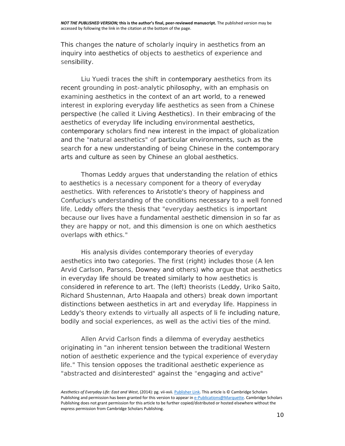This changes the nature of scholarly inquiry in aesthetics from an inquiry into aesthetics of objects to aesthetics of experience and sensibility.

Liu Yuedi traces the shift in contemporary aesthetics from its recent grounding in post-analytic philosophy, with an emphasis on examining aesthetics in the context of an art world, to a renewed interest in exploring everyday life aesthetics as seen from a Chinese perspective (he called it Living Aesthetics). In their embracing of the aesthetics of everyday life including environmental aesthetics, contemporary scholars find new interest in the impact of globalization and the "natural aesthetics" of particular environments, such as the search for a new understanding of being Chinese in the contemporary arts and culture as seen by Chinese an global aesthetics.

Thomas Leddy argues that understanding the relation of ethics to aesthetics is a necessary component for a theory of everyday aesthetics. With references to Aristotle's theory of happiness and Confucius's understanding of the conditions necessary to a well fonned life, Leddy offers the thesis that "everyday aesthetics is important because our lives have a fundamental aesthetic dimension in so far as they are happy or not, and this dimension is one on which aesthetics overlaps with ethics."

His analysis divides contemporary theories of everyday aesthetics into two categories. The first (right) includes those (A len Arvid Carlson, Parsons, Downey and others) who argue that aesthetics in everyday life should be treated similarly to how aesthetics is considered in reference to art. The (left) theorists (Leddy, Uriko Saito, Richard Shustennan, Arto Haapala and others) break down important distinctions between aesthetics in art and everyday life. Happiness in Leddy's theory extends to virtually all aspects of li fe including nature, bodily and social experiences, as well as the activi ties of the mind.

Allen Arvid Carlson finds a dilemma of everyday aesthetics originating in "an inherent tension between the traditional Western notion of aesthetic experience and the typical experience of everyday life." This tension opposes the traditional aesthetic experience as "abstracted and disinterested" against the "engaging and active"

*Aesthetics of Everyday Life: East and West*, (2014): pg. vii-xvii[. Publisher Link.](http://www.cambridgescholars.com/aesthetics-of-everyday-life) This article is © Cambridge Scholars Publishing and permission has been granted for this version to appear in [e-Publications@Marquette.](http://epublications.marquette.edu/) Cambridge Scholars Publishing does not grant permission for this article to be further copied/distributed or hosted elsewhere without the express permission from Cambridge Scholars Publishing.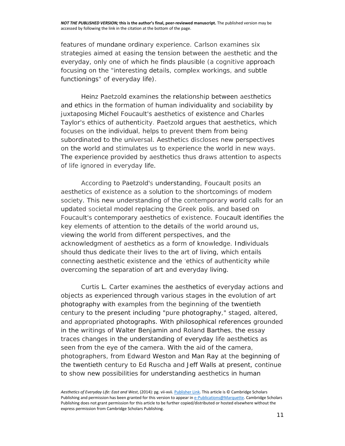features of mundane ordinary experience. Carlson examines six strategies aimed at easing the tension between the aesthetic and the everyday, only one of which he finds plausible (a cognitive approach focusing on the "interesting details, complex workings, and subtle functionings" of everyday life).

Heinz Paetzold examines the relationship between aesthetics and ethics in the formation of human individuality and sociability by juxtaposing Michel Foucault's aesthetics of existence and Charles Taylor's ethics of authenticity. Paetzold argues that aesthetics, which focuses on the individual, helps to prevent them from being subordinated to the universal. Aesthetics discloses new perspectives on the world and stimulates us to experience the world in new ways. The experience provided by aesthetics thus draws attention to aspects of life ignored in everyday life.

According to Paetzold's understanding, Foucault posits an aesthetics of existence as a solution to the shortcomings of modem society. This new understanding of the contemporary world calls for an updated societal model replacing the Greek polis, and based on Foucault's contemporary aesthetics of existence. Foucault identifies the key elements of attention to the details of the world around us, viewing the world from different perspectives, and the acknowledgment of aesthetics as a form of knowledge. Individuals should thus dedicate their lives to the art of living, which entails connecting aesthetic existence and the 'ethics of authenticity while overcoming the separation of art and everyday living.

Curtis L. Carter examines the aesthetics of everyday actions and objects as experienced through various stages in the evolution of art photography with examples from the beginning of the twentieth century to the present including "pure photography," staged, altered, and appropriated photographs. With philosophical references grounded in the writings of Walter Benjamin and Roland Barthes, the essay traces changes in the understanding of everyday life aesthetics as seen from the eye of the camera. With the aid of the camera, photographers, from Edward Weston and Man Ray at the beginning of the twentieth century to Ed Ruscha and Jeff Walls at present, continue to show new possibilities for understanding aesthetics in human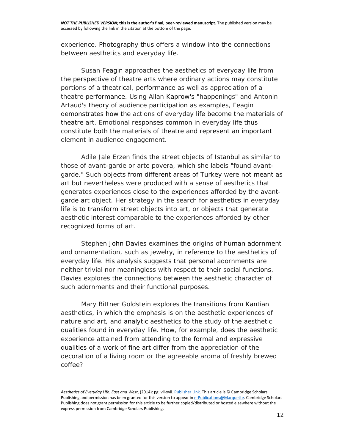experience. Photography thus offers a window into the connections between aesthetics and everyday life.

Susan Feagin approaches the aesthetics of everyday life from the perspective of theatre arts where ordinary actions may constitute portions of a theatrical, performance as well as appreciation of a theatre performance. Using Allan Kaprow's "happenings" and Antonin Artaud's theory of audience participation as examples, Feagin demonstrates how the actions of everyday life become the materials of theatre art. Emotional responses common in everyday life thus constitute both the materials of theatre and represent an important element in audience engagement.

Adile Jale Erzen finds the street objects of Istanbul as similar to those of avant-garde or *arte povera,* which she labels "found avantgarde." Such objects from different areas of Turkey were not meant as art but nevertheless were produced with a sense of aesthetics that generates experiences close to the experiences afforded by the avantgarde art object. Her strategy in the search for aesthetics in everyday life is to transform street objects into art, or objects that generate aesthetic interest comparable to the experiences afforded by other recognized forms of art.

Stephen John Davies examines the origins of human adornment and ornamentation, such as jewelry, in reference to the aesthetics of everyday life. His analysis suggests that personal adornments are neither trivial nor meaningless with respect to their social functions. Davies explores the connections between the aesthetic character of such adornments and their functional purposes.

Mary Bittner Goldstein explores the transitions from Kantian aesthetics, in which the emphasis is on the aesthetic experiences of nature and art, and analytic aesthetics to the study of the aesthetic qualities found in everyday life. How, for example, does the aesthetic experience attained from attending to the formal and expressive qualities of a work of fine art differ from the appreciation of the decoration of a living room or the agreeable aroma of freshly brewed coffee?

*Aesthetics of Everyday Life: East and West*, (2014): pg. vii-xvii[. Publisher Link.](http://www.cambridgescholars.com/aesthetics-of-everyday-life) This article is © Cambridge Scholars Publishing and permission has been granted for this version to appear in [e-Publications@Marquette.](http://epublications.marquette.edu/) Cambridge Scholars Publishing does not grant permission for this article to be further copied/distributed or hosted elsewhere without the express permission from Cambridge Scholars Publishing.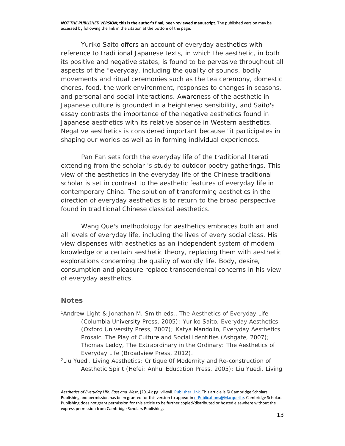Yuriko Saito offers an account of everyday aesthetics with reference to traditional Japanese texts, in which the aesthetic, in both its positive and negative states, is found to be pervasive throughout all aspects of the "everyday, including the quality of sounds, bodily movements and ritual ceremonies such as the tea ceremony, domestic chores, food, the work environment, responses to changes in seasons, and personal and social interactions. Awareness of the aesthetic in Japanese culture is grounded in a heightened sensibility, and Saito's essay contrasts the importance of the negative aesthetics found in Japanese aesthetics with its relative absence in Western aesthetics. Negative aesthetics is considered important because "it participates in shaping our worlds as well as in forming individual experiences.

Pan Fan sets forth the everyday life of the traditional literati extending from the scholar 's study to outdoor poetry gatherings. This view of the aesthetics in the everyday life of the Chinese traditional scholar is set in contrast to the aesthetic features of everyday life in contemporary China. The solution of transforming aesthetics in the direction of everyday aesthetics is to return to the broad perspective found in traditional Chinese classical aesthetics.

Wang Que's methodology for aesthetics embraces both art and all levels of everyday life, including the lives of every social class. His view dispenses with aesthetics as an independent system of modem knowledge or a certain aesthetic theory, replacing them with aesthetic explorations concerning the quality of worldly life. Body, desire, consumption and pleasure replace transcendental concerns in his view of everyday aesthetics.

#### **Notes**

- 1Andrew Light & Jonathan M. Smith eds., *The Aesthetics of Everyday Life* (Columbia University Press, 2005); Yuriko Saito, *Everyday Aesthetics*  (Oxford University Press, 2007); Katya Mandolin, *Everyday Aesthetics: Prosaic. The Play of Culture and Social Identities* (Ashgate, 2007); Thomas Leddy, *The Extraordinary in the Ordinary: The Aesthetics of Everyday Life* (Broadview Press, 2012).
- 2Liu Yuedi. *Living Aesthetics: Critique* 0f *Modernity and Re-construction of Aesthetic Spirit* (Hefei: Anhui Education Press, 2005); Liu Yuedi. *Living*